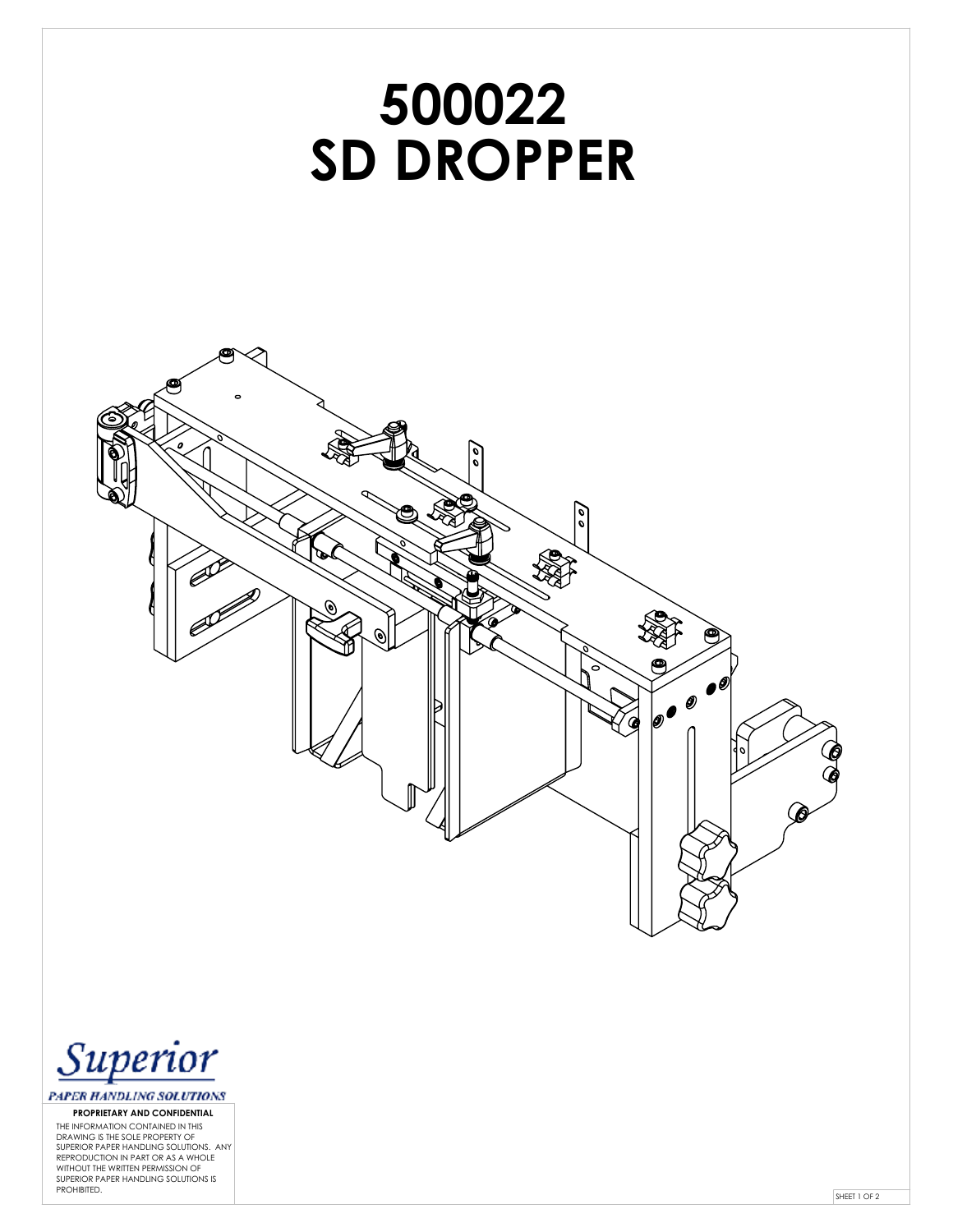